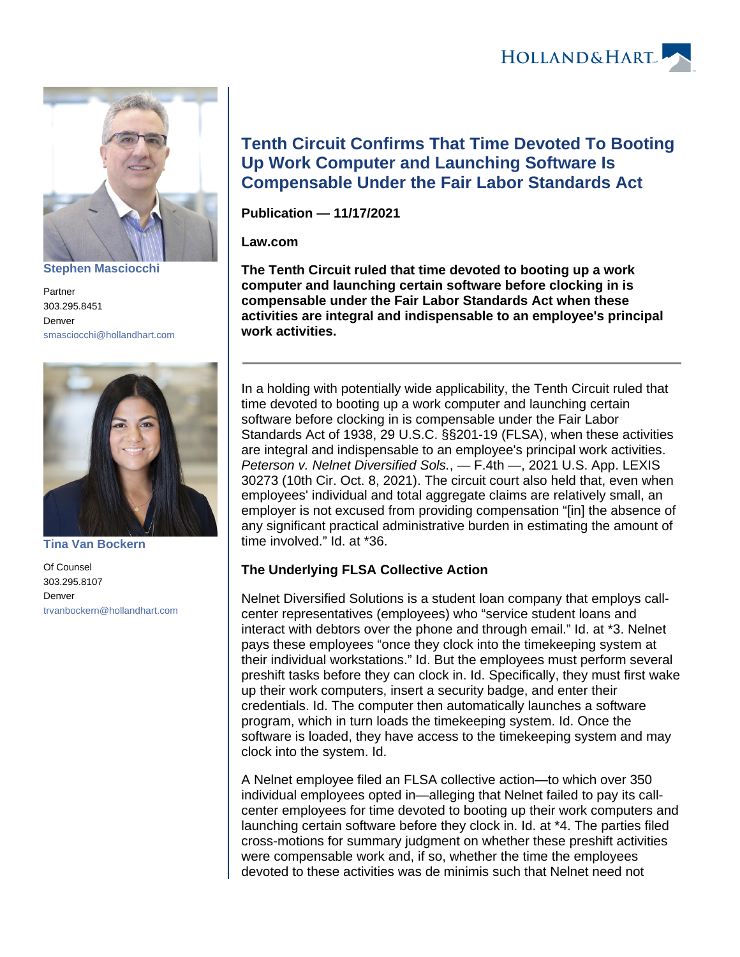HOLLAND& HART



**[Stephen Masciocchi](https://www.hollandhart.com/15640)**

Partner 303.295.8451 Denver [smasciocchi@hollandhart.com](mailto:smasciocchi@hollandhart.com)



**[Tina Van Bockern](https://www.hollandhart.com/15609)**

Of Counsel 303.295.8107 Denver [trvanbockern@hollandhart.com](mailto:trvanbockern@hollandhart.com)

# **Tenth Circuit Confirms That Time Devoted To Booting Up Work Computer and Launching Software Is Compensable Under the Fair Labor Standards Act**

**Publication — 11/17/2021**

### **Law.com**

**The Tenth Circuit ruled that time devoted to booting up a work computer and launching certain software before clocking in is compensable under the Fair Labor Standards Act when these activities are integral and indispensable to an employee's principal work activities.**

In a holding with potentially wide applicability, the Tenth Circuit ruled that time devoted to booting up a work computer and launching certain software before clocking in is compensable under the Fair Labor Standards Act of 1938, 29 U.S.C. §§201-19 (FLSA), when these activities are integral and indispensable to an employee's principal work activities. Peterson v. Nelnet Diversified Sols., — F.4th —, 2021 U.S. App. LEXIS 30273 (10th Cir. Oct. 8, 2021). The circuit court also held that, even when employees' individual and total aggregate claims are relatively small, an employer is not excused from providing compensation "[in] the absence of any significant practical administrative burden in estimating the amount of time involved." Id. at \*36.

## **The Underlying FLSA Collective Action**

Nelnet Diversified Solutions is a student loan company that employs callcenter representatives (employees) who "service student loans and interact with debtors over the phone and through email." Id. at \*3. Nelnet pays these employees "once they clock into the timekeeping system at their individual workstations." Id. But the employees must perform several preshift tasks before they can clock in. Id. Specifically, they must first wake up their work computers, insert a security badge, and enter their credentials. Id. The computer then automatically launches a software program, which in turn loads the timekeeping system. Id. Once the software is loaded, they have access to the timekeeping system and may clock into the system. Id.

A Nelnet employee filed an FLSA collective action—to which over 350 individual employees opted in—alleging that Nelnet failed to pay its callcenter employees for time devoted to booting up their work computers and launching certain software before they clock in. Id. at \*4. The parties filed cross-motions for summary judgment on whether these preshift activities were compensable work and, if so, whether the time the employees devoted to these activities was de minimis such that Nelnet need not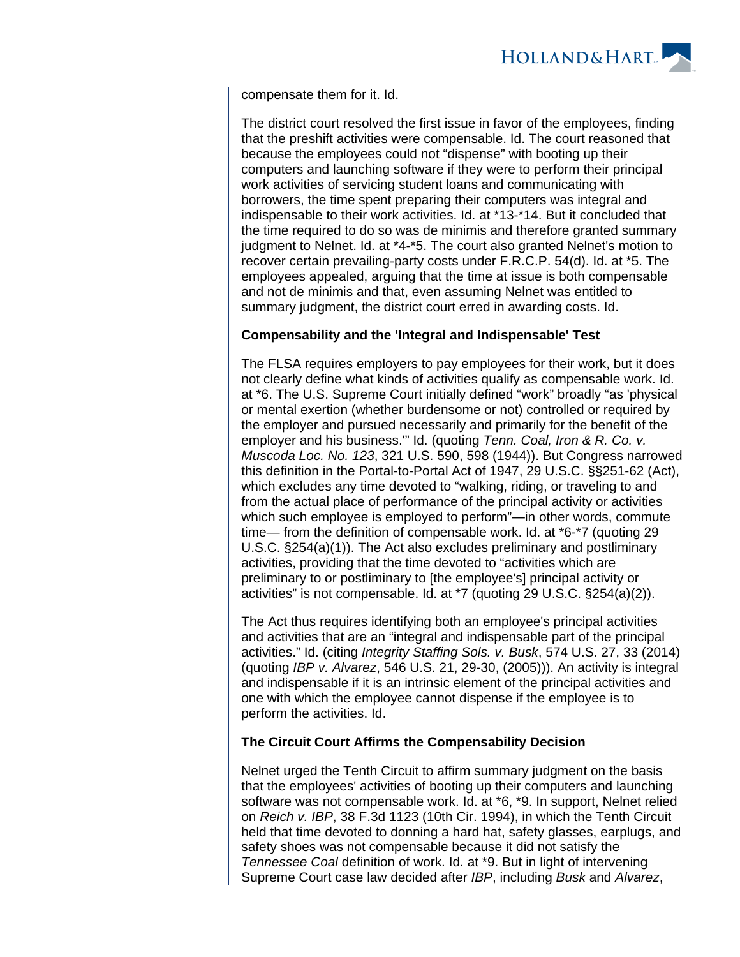

compensate them for it. Id.

The district court resolved the first issue in favor of the employees, finding that the preshift activities were compensable. Id. The court reasoned that because the employees could not "dispense" with booting up their computers and launching software if they were to perform their principal work activities of servicing student loans and communicating with borrowers, the time spent preparing their computers was integral and indispensable to their work activities. Id. at \*13-\*14. But it concluded that the time required to do so was de minimis and therefore granted summary judgment to Nelnet. Id. at \*4-\*5. The court also granted Nelnet's motion to recover certain prevailing-party costs under F.R.C.P. 54(d). Id. at \*5. The employees appealed, arguing that the time at issue is both compensable and not de minimis and that, even assuming Nelnet was entitled to summary judgment, the district court erred in awarding costs. Id.

### **Compensability and the 'Integral and Indispensable' Test**

The FLSA requires employers to pay employees for their work, but it does not clearly define what kinds of activities qualify as compensable work. Id. at \*6. The U.S. Supreme Court initially defined "work" broadly "as 'physical or mental exertion (whether burdensome or not) controlled or required by the employer and pursued necessarily and primarily for the benefit of the employer and his business." Id. (quoting Tenn. Coal, Iron & R. Co. v. Muscoda Loc. No. 123, 321 U.S. 590, 598 (1944)). But Congress narrowed this definition in the Portal-to-Portal Act of 1947, 29 U.S.C. §§251-62 (Act), which excludes any time devoted to "walking, riding, or traveling to and from the actual place of performance of the principal activity or activities which such employee is employed to perform"—in other words, commute time— from the definition of compensable work. Id. at \*6-\*7 (quoting 29 U.S.C. §254(a)(1)). The Act also excludes preliminary and postliminary activities, providing that the time devoted to "activities which are preliminary to or postliminary to [the employee's] principal activity or activities" is not compensable. Id. at \*7 (quoting 29 U.S.C. §254(a)(2)).

The Act thus requires identifying both an employee's principal activities and activities that are an "integral and indispensable part of the principal activities." Id. (citing Integrity Staffing Sols. v. Busk, 574 U.S. 27, 33 (2014) (quoting IBP v. Alvarez, 546 U.S. 21, 29-30, (2005))). An activity is integral and indispensable if it is an intrinsic element of the principal activities and one with which the employee cannot dispense if the employee is to perform the activities. Id.

### **The Circuit Court Affirms the Compensability Decision**

Nelnet urged the Tenth Circuit to affirm summary judgment on the basis that the employees' activities of booting up their computers and launching software was not compensable work. Id. at \*6, \*9. In support, Nelnet relied on Reich v. IBP, 38 F.3d 1123 (10th Cir. 1994), in which the Tenth Circuit held that time devoted to donning a hard hat, safety glasses, earplugs, and safety shoes was not compensable because it did not satisfy the Tennessee Coal definition of work. Id. at \*9. But in light of intervening Supreme Court case law decided after IBP, including Busk and Alvarez,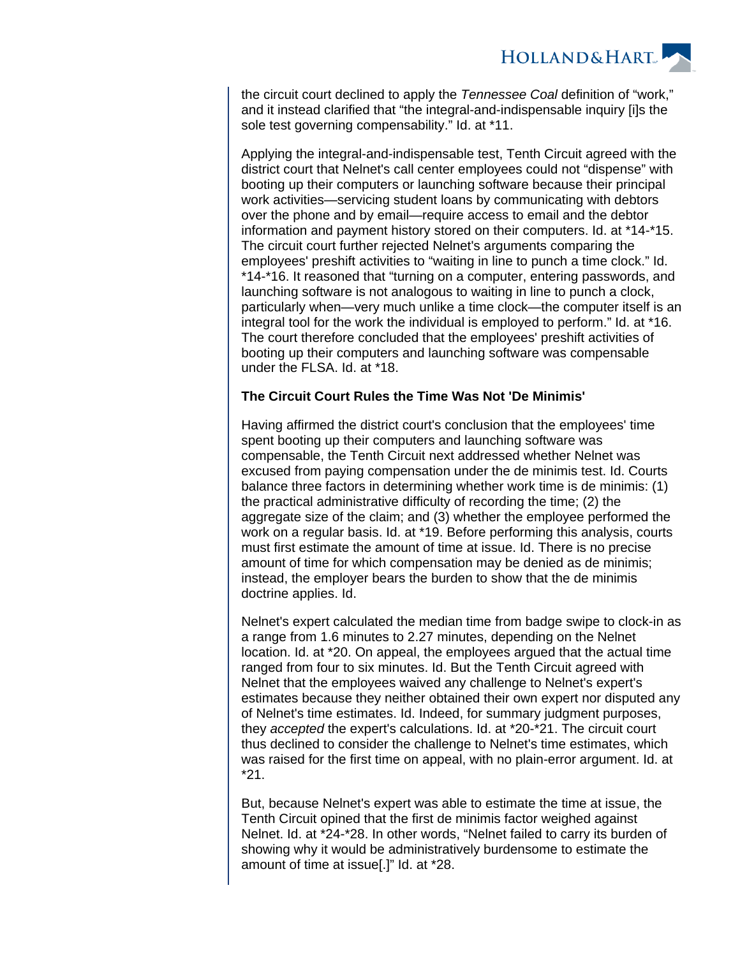

the circuit court declined to apply the Tennessee Coal definition of "work." and it instead clarified that "the integral-and-indispensable inquiry [i]s the sole test governing compensability." Id. at \*11.

Applying the integral-and-indispensable test, Tenth Circuit agreed with the district court that Nelnet's call center employees could not "dispense" with booting up their computers or launching software because their principal work activities—servicing student loans by communicating with debtors over the phone and by email—require access to email and the debtor information and payment history stored on their computers. Id. at \*14-\*15. The circuit court further rejected Nelnet's arguments comparing the employees' preshift activities to "waiting in line to punch a time clock." Id. \*14-\*16. It reasoned that "turning on a computer, entering passwords, and launching software is not analogous to waiting in line to punch a clock, particularly when—very much unlike a time clock—the computer itself is an integral tool for the work the individual is employed to perform." Id. at \*16. The court therefore concluded that the employees' preshift activities of booting up their computers and launching software was compensable under the FLSA. Id. at \*18.

#### **The Circuit Court Rules the Time Was Not 'De Minimis'**

Having affirmed the district court's conclusion that the employees' time spent booting up their computers and launching software was compensable, the Tenth Circuit next addressed whether Nelnet was excused from paying compensation under the de minimis test. Id. Courts balance three factors in determining whether work time is de minimis: (1) the practical administrative difficulty of recording the time; (2) the aggregate size of the claim; and (3) whether the employee performed the work on a regular basis. Id. at \*19. Before performing this analysis, courts must first estimate the amount of time at issue. Id. There is no precise amount of time for which compensation may be denied as de minimis; instead, the employer bears the burden to show that the de minimis doctrine applies. Id.

Nelnet's expert calculated the median time from badge swipe to clock-in as a range from 1.6 minutes to 2.27 minutes, depending on the Nelnet location. Id. at \*20. On appeal, the employees argued that the actual time ranged from four to six minutes. Id. But the Tenth Circuit agreed with Nelnet that the employees waived any challenge to Nelnet's expert's estimates because they neither obtained their own expert nor disputed any of Nelnet's time estimates. Id. Indeed, for summary judgment purposes, they accepted the expert's calculations. Id. at \*20-\*21. The circuit court thus declined to consider the challenge to Nelnet's time estimates, which was raised for the first time on appeal, with no plain-error argument. Id. at \*21.

But, because Nelnet's expert was able to estimate the time at issue, the Tenth Circuit opined that the first de minimis factor weighed against Nelnet. Id. at \*24-\*28. In other words, "Nelnet failed to carry its burden of showing why it would be administratively burdensome to estimate the amount of time at issue[.]" Id. at \*28.